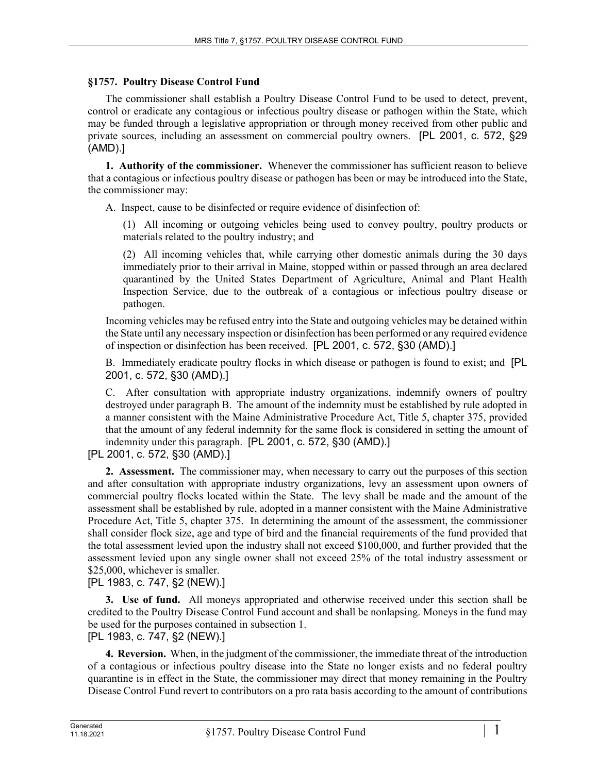## **§1757. Poultry Disease Control Fund**

The commissioner shall establish a Poultry Disease Control Fund to be used to detect, prevent, control or eradicate any contagious or infectious poultry disease or pathogen within the State, which may be funded through a legislative appropriation or through money received from other public and private sources, including an assessment on commercial poultry owners. [PL 2001, c. 572, §29 (AMD).]

**1. Authority of the commissioner.** Whenever the commissioner has sufficient reason to believe that a contagious or infectious poultry disease or pathogen has been or may be introduced into the State, the commissioner may:

A. Inspect, cause to be disinfected or require evidence of disinfection of:

(1) All incoming or outgoing vehicles being used to convey poultry, poultry products or materials related to the poultry industry; and

(2) All incoming vehicles that, while carrying other domestic animals during the 30 days immediately prior to their arrival in Maine, stopped within or passed through an area declared quarantined by the United States Department of Agriculture, Animal and Plant Health Inspection Service, due to the outbreak of a contagious or infectious poultry disease or pathogen.

Incoming vehicles may be refused entry into the State and outgoing vehicles may be detained within the State until any necessary inspection or disinfection has been performed or any required evidence of inspection or disinfection has been received. [PL 2001, c. 572, §30 (AMD).]

B. Immediately eradicate poultry flocks in which disease or pathogen is found to exist; and [PL 2001, c. 572, §30 (AMD).]

C. After consultation with appropriate industry organizations, indemnify owners of poultry destroyed under paragraph B. The amount of the indemnity must be established by rule adopted in a manner consistent with the Maine Administrative Procedure Act, Title 5, chapter 375, provided that the amount of any federal indemnity for the same flock is considered in setting the amount of indemnity under this paragraph. [PL 2001, c. 572, §30 (AMD).]

[PL 2001, c. 572, §30 (AMD).]

**2. Assessment.** The commissioner may, when necessary to carry out the purposes of this section and after consultation with appropriate industry organizations, levy an assessment upon owners of commercial poultry flocks located within the State. The levy shall be made and the amount of the assessment shall be established by rule, adopted in a manner consistent with the Maine Administrative Procedure Act, Title 5, chapter 375. In determining the amount of the assessment, the commissioner shall consider flock size, age and type of bird and the financial requirements of the fund provided that the total assessment levied upon the industry shall not exceed \$100,000, and further provided that the assessment levied upon any single owner shall not exceed 25% of the total industry assessment or \$25,000, whichever is smaller.

[PL 1983, c. 747, §2 (NEW).]

**3. Use of fund.** All moneys appropriated and otherwise received under this section shall be credited to the Poultry Disease Control Fund account and shall be nonlapsing. Moneys in the fund may be used for the purposes contained in subsection 1. [PL 1983, c. 747, §2 (NEW).]

**4. Reversion.** When, in the judgment of the commissioner, the immediate threat of the introduction of a contagious or infectious poultry disease into the State no longer exists and no federal poultry quarantine is in effect in the State, the commissioner may direct that money remaining in the Poultry Disease Control Fund revert to contributors on a pro rata basis according to the amount of contributions